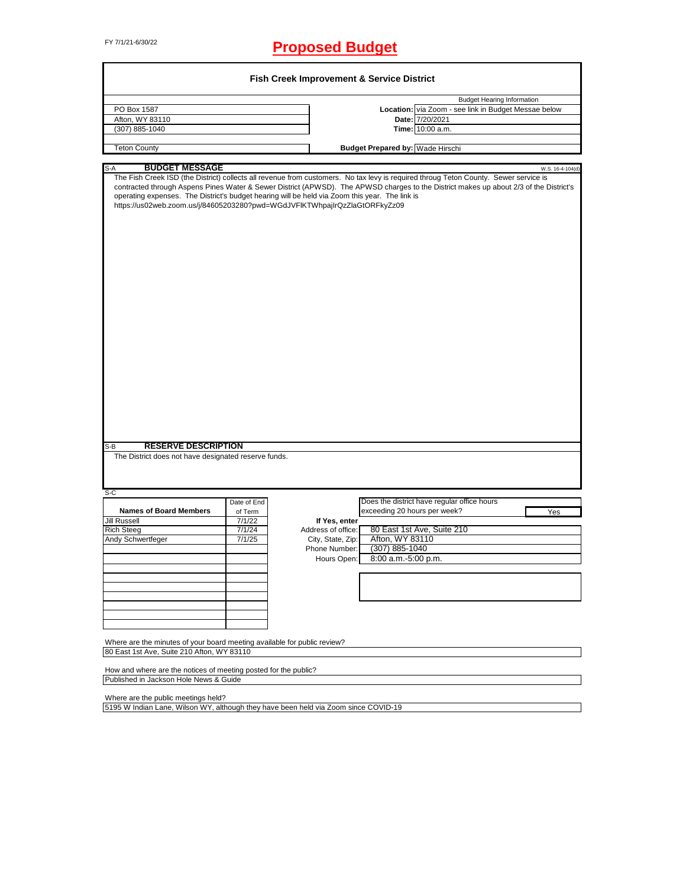# FY 7/1/21-6/30/22 **Proposed Budget**

| PO Box 1587                                                                                                                                                                  |                  |                                    |                                         | <b>Budget Hearing Information</b>                                                                                                                                                                                                                                                                  |
|------------------------------------------------------------------------------------------------------------------------------------------------------------------------------|------------------|------------------------------------|-----------------------------------------|----------------------------------------------------------------------------------------------------------------------------------------------------------------------------------------------------------------------------------------------------------------------------------------------------|
|                                                                                                                                                                              |                  |                                    |                                         | Location: via Zoom - see link in Budget Messae below                                                                                                                                                                                                                                               |
| Afton, WY 83110                                                                                                                                                              |                  |                                    |                                         | Date: 7/20/2021                                                                                                                                                                                                                                                                                    |
| (307) 885-1040                                                                                                                                                               |                  |                                    |                                         | Time: 10:00 a.m.                                                                                                                                                                                                                                                                                   |
| <b>Teton County</b>                                                                                                                                                          |                  |                                    | <b>Budget Prepared by: Wade Hirschi</b> |                                                                                                                                                                                                                                                                                                    |
| S-A<br><b>BUDGET MESSAGE</b>                                                                                                                                                 |                  |                                    |                                         |                                                                                                                                                                                                                                                                                                    |
| operating expenses. The District's budget hearing will be held via Zoom this year. The link is<br>https://us02web.zoom.us/j/84605203280?pwd=WGdJVFIKTWhpajIrQzZlaGtORFkyZz09 |                  |                                    |                                         | W.S. 16-4-104(d)<br>The Fish Creek ISD (the District) collects all revenue from customers. No tax levy is required throug Teton County. Sewer service is<br>contracted through Aspens Pines Water & Sewer District (APWSD). The APWSD charges to the District makes up about 2/3 of the District's |
|                                                                                                                                                                              |                  |                                    |                                         |                                                                                                                                                                                                                                                                                                    |
|                                                                                                                                                                              |                  |                                    |                                         |                                                                                                                                                                                                                                                                                                    |
|                                                                                                                                                                              |                  |                                    |                                         |                                                                                                                                                                                                                                                                                                    |
| <b>RESERVE DESCRIPTION</b>                                                                                                                                                   |                  |                                    |                                         |                                                                                                                                                                                                                                                                                                    |
|                                                                                                                                                                              |                  |                                    |                                         |                                                                                                                                                                                                                                                                                                    |
|                                                                                                                                                                              |                  |                                    |                                         |                                                                                                                                                                                                                                                                                                    |
|                                                                                                                                                                              | Date of End      |                                    |                                         | Does the district have regular office hours                                                                                                                                                                                                                                                        |
| <b>Names of Board Members</b>                                                                                                                                                | of Term          |                                    | exceeding 20 hours per week?            | Yes                                                                                                                                                                                                                                                                                                |
|                                                                                                                                                                              | 7/1/22           | If Yes, enter                      |                                         |                                                                                                                                                                                                                                                                                                    |
|                                                                                                                                                                              | 7/1/24<br>7/1/25 | Address of office:                 |                                         | 80 East 1st Ave, Suite 210                                                                                                                                                                                                                                                                         |
|                                                                                                                                                                              |                  | City, State, Zip:<br>Phone Number: | Afton, WY 83110<br>$(307)$ 885-1040     |                                                                                                                                                                                                                                                                                                    |
|                                                                                                                                                                              |                  |                                    |                                         |                                                                                                                                                                                                                                                                                                    |
|                                                                                                                                                                              |                  | Hours Open:                        | 8:00 a.m.-5:00 p.m.                     |                                                                                                                                                                                                                                                                                                    |
|                                                                                                                                                                              |                  |                                    |                                         |                                                                                                                                                                                                                                                                                                    |
|                                                                                                                                                                              |                  |                                    |                                         |                                                                                                                                                                                                                                                                                                    |
|                                                                                                                                                                              |                  |                                    |                                         |                                                                                                                                                                                                                                                                                                    |
| The District does not have designated reserve funds.                                                                                                                         |                  |                                    |                                         |                                                                                                                                                                                                                                                                                                    |
| S-B<br>$S-C$<br><b>Jill Russell</b><br><b>Rich Steeg</b><br>Andy Schwertfeger                                                                                                |                  |                                    |                                         |                                                                                                                                                                                                                                                                                                    |
|                                                                                                                                                                              |                  |                                    |                                         |                                                                                                                                                                                                                                                                                                    |
| Where are the minutes of your board meeting available for public review?                                                                                                     |                  |                                    |                                         |                                                                                                                                                                                                                                                                                                    |

Where are the public meetings held?

5195 W Indian Lane, Wilson WY, although they have been held via Zoom since COVID-19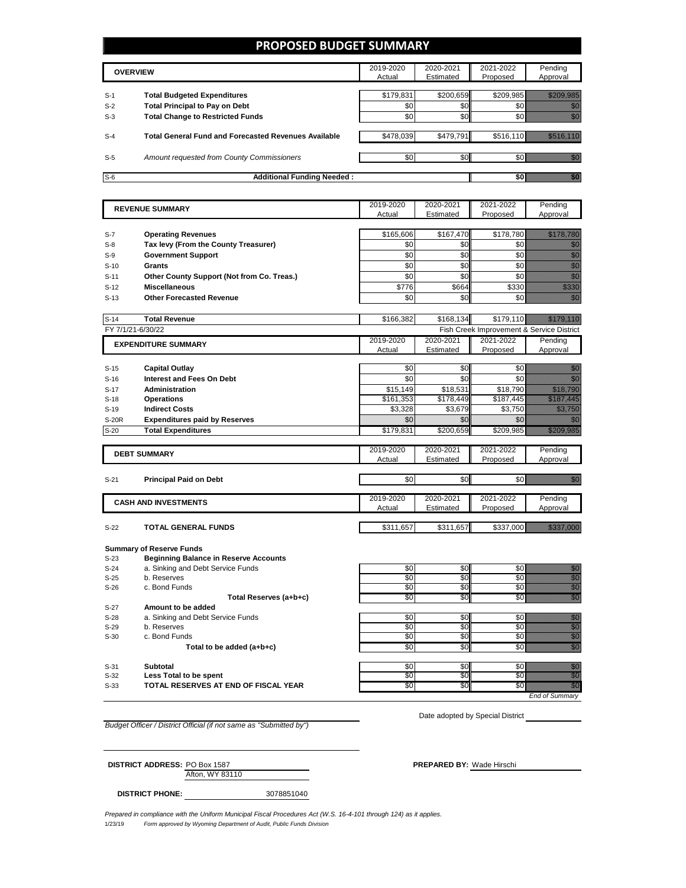### **PROPOSED BUDGET SUMMARY**

|       | <b>OVERVIEW</b>                                             | 2019-2020<br>Actual | 2020-2021<br>Estimated | 2021-2022<br>Proposed | Pending<br>Approval |
|-------|-------------------------------------------------------------|---------------------|------------------------|-----------------------|---------------------|
|       |                                                             |                     |                        |                       |                     |
| $S-1$ | <b>Total Budgeted Expenditures</b>                          | \$179,831           | \$200,659              | \$209,985             |                     |
| $S-2$ | <b>Total Principal to Pay on Debt</b>                       | \$0                 | \$0                    |                       |                     |
| $S-3$ | <b>Total Change to Restricted Funds</b>                     | \$0                 | \$0                    |                       |                     |
|       |                                                             |                     |                        |                       |                     |
| $S-4$ | <b>Total General Fund and Forecasted Revenues Available</b> | \$478,039           | \$479.791              | \$516.110             |                     |
|       |                                                             |                     |                        |                       |                     |
| $S-5$ | Amount requested from County Commissioners                  | \$0 <sub>1</sub>    | \$0 <sub>1</sub>       |                       |                     |
|       |                                                             |                     |                        |                       |                     |
| $S-6$ | <b>Additional Funding Needed:</b>                           |                     |                        |                       |                     |

| <b>REVENUE SUMMARY</b> |                                              | 2019-2020             | 2020-2021             | 2021-2022                                 | Pending                                                                                                                                                                                                                          |
|------------------------|----------------------------------------------|-----------------------|-----------------------|-------------------------------------------|----------------------------------------------------------------------------------------------------------------------------------------------------------------------------------------------------------------------------------|
|                        |                                              | Actual                | Estimated             | Proposed                                  | Approval                                                                                                                                                                                                                         |
|                        |                                              |                       |                       |                                           |                                                                                                                                                                                                                                  |
| S-7                    | <b>Operating Revenues</b>                    | \$165,606             | \$167,470             | \$178,780                                 | <u> Kalèndher Ka</u>                                                                                                                                                                                                             |
| $S-8$                  | Tax levy (From the County Treasurer)         | \$0                   | \$0                   | \$0                                       | en de la familie de la familie de la familie de la familie de la familie de la familie de la familie de la fam<br>Décembre de la familie de la familie de la familie de la familie de la familie de la familie de la familie de  |
| $S-9$                  | <b>Government Support</b>                    | \$0                   | \$0                   | \$0                                       | e de la familia de la familia de la familia de la familia de la familia de la familia de la familia de la fami<br>Establecidad                                                                                                   |
| $S-10$                 | Grants                                       | \$0                   | \$0                   | \$0                                       |                                                                                                                                                                                                                                  |
| $S-11$                 | Other County Support (Not from Co. Treas.)   | \$0                   | \$0                   | \$0                                       | en de la familie de la familie de la familie de la familie de la familie de la familie de la familie de la fam<br>Constituit de la familie de la familie de la familie de la familie de la familie de la familie de la familie d |
| $S-12$                 | <b>Miscellaneous</b>                         | \$776                 | \$664                 | \$330                                     | en en de forme de la forme de la forme de la forme de la forme de la forme de la forme de la forme de la form<br>En la forme de la forme de la forme de la forme de la forme de la forme de la forme de la forme de la forme d   |
| $S-13$                 | <b>Other Forecasted Revenue</b>              | \$0                   | \$0                   | \$0                                       | en de la familie de la familie de la familie de la familie de la familie de la familie de la familie de la fam<br>Décembre de la familie de la familie de la familie de la familie de la familie de la familie de la familie de  |
|                        |                                              |                       |                       |                                           |                                                                                                                                                                                                                                  |
| $S-14$                 | <b>Total Revenue</b>                         | \$166,382             | \$168,134             | \$179,110                                 | <u> Martin Martin S</u>                                                                                                                                                                                                          |
|                        | FY 7/1/21-6/30/22                            |                       |                       | Fish Creek Improvement & Service District |                                                                                                                                                                                                                                  |
|                        | <b>EXPENDITURE SUMMARY</b>                   | 2019-2020             | 2020-2021             | 2021-2022                                 | Pending                                                                                                                                                                                                                          |
|                        |                                              | Actual                | Estimated             | Proposed                                  | Approval                                                                                                                                                                                                                         |
| $S-15$                 | <b>Capital Outlay</b>                        | \$0                   | \$0                   | \$0                                       | en de la filosofia<br>Altres de la filosofia                                                                                                                                                                                     |
| $S-16$                 | <b>Interest and Fees On Debt</b>             | \$0                   | \$0                   | \$0                                       | gang<br>Mana                                                                                                                                                                                                                     |
|                        |                                              |                       |                       |                                           |                                                                                                                                                                                                                                  |
| $S-17$<br>$S-18$       | <b>Administration</b><br><b>Operations</b>   | \$15,149<br>\$161,353 | \$18,531<br>\$178,449 | \$18,790<br>\$187,445                     | <u>istorialistik</u><br><u>Tilling</u>                                                                                                                                                                                           |
| $S-19$                 | <b>Indirect Costs</b>                        | \$3,328               | \$3,679               | \$3,750                                   | <u>ti kanalalan k</u>                                                                                                                                                                                                            |
| <b>S-20R</b>           | <b>Expenditures paid by Reserves</b>         | \$0                   | \$0                   | \$0                                       |                                                                                                                                                                                                                                  |
| $S-20$                 | <b>Total Expenditures</b>                    | \$179,831             | \$200,659             | \$209,985                                 | <u>Markovin</u>                                                                                                                                                                                                                  |
|                        |                                              |                       |                       |                                           |                                                                                                                                                                                                                                  |
|                        |                                              | 2019-2020             | 2020-2021             | 2021-2022                                 | Pending                                                                                                                                                                                                                          |
|                        | <b>DEBT SUMMARY</b>                          | Actual                | Estimated             | Proposed                                  | Approval                                                                                                                                                                                                                         |
|                        |                                              |                       |                       |                                           |                                                                                                                                                                                                                                  |
| $S-21$                 | <b>Principal Paid on Debt</b>                | \$0                   | \$0                   | \$0                                       | <u>man</u>                                                                                                                                                                                                                       |
|                        |                                              |                       |                       |                                           |                                                                                                                                                                                                                                  |
|                        | <b>CASH AND INVESTMENTS</b>                  | 2019-2020             | 2020-2021             | 2021-2022                                 | Pending                                                                                                                                                                                                                          |
|                        |                                              | Actual                | Estimated             | Proposed                                  | Approval                                                                                                                                                                                                                         |
| $S-22$                 | <b>TOTAL GENERAL FUNDS</b>                   | \$311,657             | \$311,657             | \$337,000                                 | <u> Hillian Social I</u>                                                                                                                                                                                                         |
|                        |                                              |                       |                       |                                           |                                                                                                                                                                                                                                  |
|                        | <b>Summary of Reserve Funds</b>              |                       |                       |                                           |                                                                                                                                                                                                                                  |
| $S-23$                 | <b>Beginning Balance in Reserve Accounts</b> |                       |                       |                                           |                                                                                                                                                                                                                                  |
| $S-24$                 | a. Sinking and Debt Service Funds            | \$0                   | \$0                   | \$0                                       | en 1979.<br>Malala                                                                                                                                                                                                               |
| $S-25$                 | b. Reserves                                  | $\overline{30}$       | \$0                   | \$0                                       | en de la familie de la familie de la familie de la familie de la familie de la familie de la familie de la fam<br>Constitution de la familie de la familie de la familie de la familie de la familie de la familie de la familie |
| $S-26$                 | c. Bond Funds                                | \$0                   | \$0                   | \$0                                       | an dhe                                                                                                                                                                                                                           |
|                        | Total Reserves (a+b+c)                       | \$0                   | \$0                   | \$0                                       | en de la filo<br>Cardinal                                                                                                                                                                                                        |
| $S-27$                 | Amount to be added                           |                       |                       |                                           |                                                                                                                                                                                                                                  |
| $S-28$                 | a. Sinking and Debt Service Funds            | \$0                   | \$0                   | \$0                                       | an dhe                                                                                                                                                                                                                           |
| $S-29$                 | b. Reserves                                  | $\overline{50}$       | \$0                   | \$0                                       | en de la filosofia<br>Altres de la filòlogía                                                                                                                                                                                     |
| $S-30$                 | c. Bond Funds                                | \$0                   | \$0                   | \$0                                       | na an                                                                                                                                                                                                                            |
|                        | Total to be added (a+b+c)                    | \$0                   | \$0                   | <b>SO</b>                                 | en de la familie de la familie de la familie de la familie de la familie de la familie de la familie de la fa<br>De la familie de la familie de la familie de la familie de la familie de la familie de la familie de la famili  |

S-32 **Less Total to be spent** \$0 \$0 \$0 \$0

S-33 **TOTAL RESERVES AT END OF FISCAL YEAR The SO \$0** \$0 \$0

S-31 **Subtotal** \$0 \$0 \$0 \$0

Date adopted by Special District

*End of Summary*

*Budget Officer / District Official (if not same as "Submitted by")*

Afton, WY 83110 **DISTRICT ADDRESS:** PO Box 1587 **PREPARED BY:** Wade Hirschi

**DISTRICT PHONE:** 3078851040

1/23/19 *Form approved by Wyoming Department of Audit, Public Funds Division Prepared in compliance with the Uniform Municipal Fiscal Procedures Act (W.S. 16-4-101 through 124) as it applies.*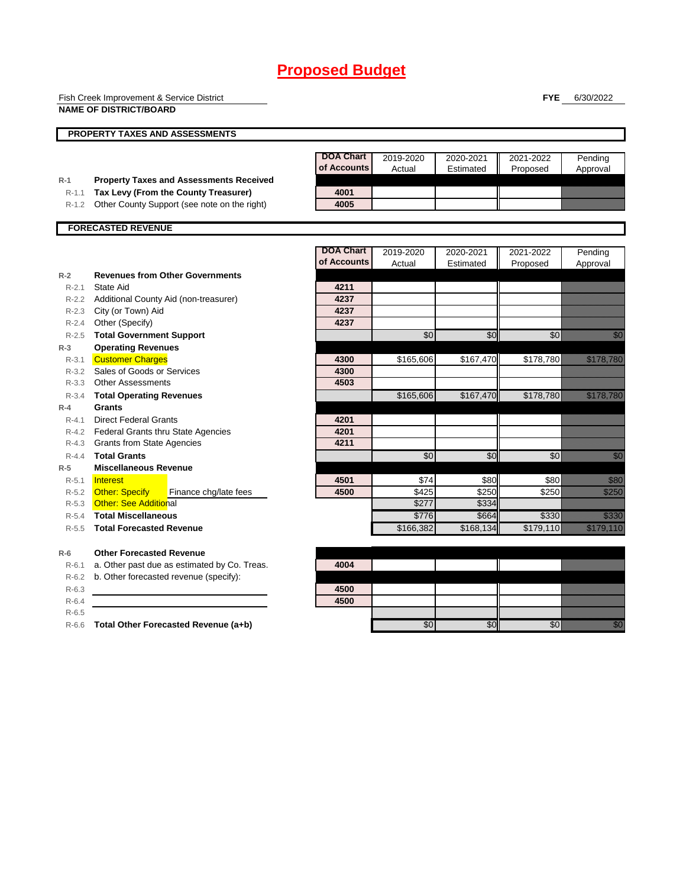|           | Fish Creek Improvement & Service District                                              |                                 |           |           | <b>FYE</b>      | 6/30/2022                                                                                                                                                                                                                        |
|-----------|----------------------------------------------------------------------------------------|---------------------------------|-----------|-----------|-----------------|----------------------------------------------------------------------------------------------------------------------------------------------------------------------------------------------------------------------------------|
|           | <b>NAME OF DISTRICT/BOARD</b>                                                          |                                 |           |           |                 |                                                                                                                                                                                                                                  |
|           |                                                                                        |                                 |           |           |                 |                                                                                                                                                                                                                                  |
|           | <b>PROPERTY TAXES AND ASSESSMENTS</b>                                                  |                                 |           |           |                 |                                                                                                                                                                                                                                  |
|           |                                                                                        |                                 |           |           |                 |                                                                                                                                                                                                                                  |
|           |                                                                                        | <b>DOA Chart</b><br>of Accounts | 2019-2020 | 2020-2021 | 2021-2022       | Pending                                                                                                                                                                                                                          |
| $R-1$     |                                                                                        |                                 | Actual    | Estimated | Proposed        | Approval                                                                                                                                                                                                                         |
| $R-1.1$   | <b>Property Taxes and Assessments Received</b><br>Tax Levy (From the County Treasurer) | 4001                            |           |           |                 |                                                                                                                                                                                                                                  |
| R-1.2     | Other County Support (see note on the right)                                           | 4005                            |           |           |                 |                                                                                                                                                                                                                                  |
|           |                                                                                        |                                 |           |           |                 |                                                                                                                                                                                                                                  |
|           | <b>FORECASTED REVENUE</b>                                                              |                                 |           |           |                 |                                                                                                                                                                                                                                  |
|           |                                                                                        |                                 |           |           |                 |                                                                                                                                                                                                                                  |
|           |                                                                                        | <b>DOA Chart</b>                | 2019-2020 | 2020-2021 | 2021-2022       | Pending                                                                                                                                                                                                                          |
|           |                                                                                        | of Accounts                     | Actual    | Estimated | Proposed        | Approval                                                                                                                                                                                                                         |
| $R-2$     | <b>Revenues from Other Governments</b>                                                 |                                 |           |           |                 |                                                                                                                                                                                                                                  |
| $R - 2.1$ | State Aid                                                                              | 4211                            |           |           |                 |                                                                                                                                                                                                                                  |
|           | R-2.2 Additional County Aid (non-treasurer)                                            | 4237                            |           |           |                 |                                                                                                                                                                                                                                  |
| $R - 2.3$ | City (or Town) Aid                                                                     | 4237                            |           |           |                 |                                                                                                                                                                                                                                  |
| $R - 2.4$ | Other (Specify)                                                                        | 4237                            |           |           |                 |                                                                                                                                                                                                                                  |
|           | R-2.5 Total Government Support                                                         |                                 | \$0       | \$0       | $\overline{60}$ | en de la familie de la familie de la familie de la familie de la familie de la familie de la familie de la fam<br>De la familie de la familie de la familie de la familie de la familie de la familie de la familie de la famili |
| $R-3$     | <b>Operating Revenues</b>                                                              |                                 |           |           |                 |                                                                                                                                                                                                                                  |
| $R - 3.1$ | <b>Customer Charges</b>                                                                | 4300                            | \$165,606 | \$167,470 | \$178,780       | <u> Karl Sara</u>                                                                                                                                                                                                                |
|           | R-3.2 Sales of Goods or Services                                                       | 4300                            |           |           |                 |                                                                                                                                                                                                                                  |
| R-3.3     | <b>Other Assessments</b>                                                               | 4503                            |           |           |                 |                                                                                                                                                                                                                                  |
| $R - 3.4$ | <b>Total Operating Revenues</b>                                                        |                                 | \$165,606 | \$167,470 | \$178,780       | <u> Karl Sara</u>                                                                                                                                                                                                                |
| $R-4$     | Grants                                                                                 |                                 |           |           |                 |                                                                                                                                                                                                                                  |
| $R-4.1$   | <b>Direct Federal Grants</b>                                                           | 4201                            |           |           |                 |                                                                                                                                                                                                                                  |
|           | R-4.2 Federal Grants thru State Agencies                                               | 4201                            |           |           |                 |                                                                                                                                                                                                                                  |
| $R-4.3$   | <b>Grants from State Agencies</b>                                                      | 4211                            |           |           |                 |                                                                                                                                                                                                                                  |
| $R - 4.4$ | <b>Total Grants</b>                                                                    |                                 | \$0       | \$0       | \$0             | en de la familie de la familie de la familie de la familie de la familie de la familie de la familie de la fa<br>Constitution de la familie de la familie de la familie de la familie de la familie de la familie de la familie  |
| $R-5$     | <b>Miscellaneous Revenue</b>                                                           |                                 |           |           |                 |                                                                                                                                                                                                                                  |
| $R - 5.1$ | Interest                                                                               | 4501                            | \$74      | \$80      | \$80            | <u>tionalis</u>                                                                                                                                                                                                                  |
| R-5.2     | <b>Other: Specify</b><br>Finance chg/late fees                                         | 4500                            | \$425     | \$250     | \$250           | a katika katika katika katika katika katika alikuwa alikuwa alikuwa alikuwa alikuwa alikuwa alikuwa alikuwa al<br>Katika katika katika katika katika katika katika katika katika katika katika katika katika katika katika katik |
| $R-5.3$   | <b>Other: See Additional</b>                                                           |                                 | \$277     | \$334     |                 |                                                                                                                                                                                                                                  |
| $R - 5.4$ | <b>Total Miscellaneous</b>                                                             |                                 | \$776     | \$664     | \$330           | <b>Santa Barat</b><br>Bandara                                                                                                                                                                                                    |
| $R - 5.5$ | <b>Total Forecasted Revenue</b>                                                        |                                 | \$166,382 | \$168,134 | \$179,110       | a katalunggal na katalunggal na katalunggal na katalunggal na katalunggal na katalunggal na katalunggal na kat                                                                                                                   |
| $R-6$     | <b>Other Forecasted Revenue</b>                                                        |                                 |           |           |                 |                                                                                                                                                                                                                                  |
| $R-6.1$   | a. Other past due as estimated by Co. Treas.                                           | 4004                            |           |           |                 |                                                                                                                                                                                                                                  |
| $R-6.2$   | b. Other forecasted revenue (specify):                                                 |                                 |           |           |                 |                                                                                                                                                                                                                                  |
| $R-6.3$   |                                                                                        | 4500                            |           |           |                 |                                                                                                                                                                                                                                  |
| $R-6.4$   |                                                                                        | 4500                            |           |           |                 |                                                                                                                                                                                                                                  |
| $R-6.5$   |                                                                                        |                                 |           |           |                 |                                                                                                                                                                                                                                  |

R-6.6 **Total Other Forecasted Revenue (a+b)** \$0 \$0 \$0 \$0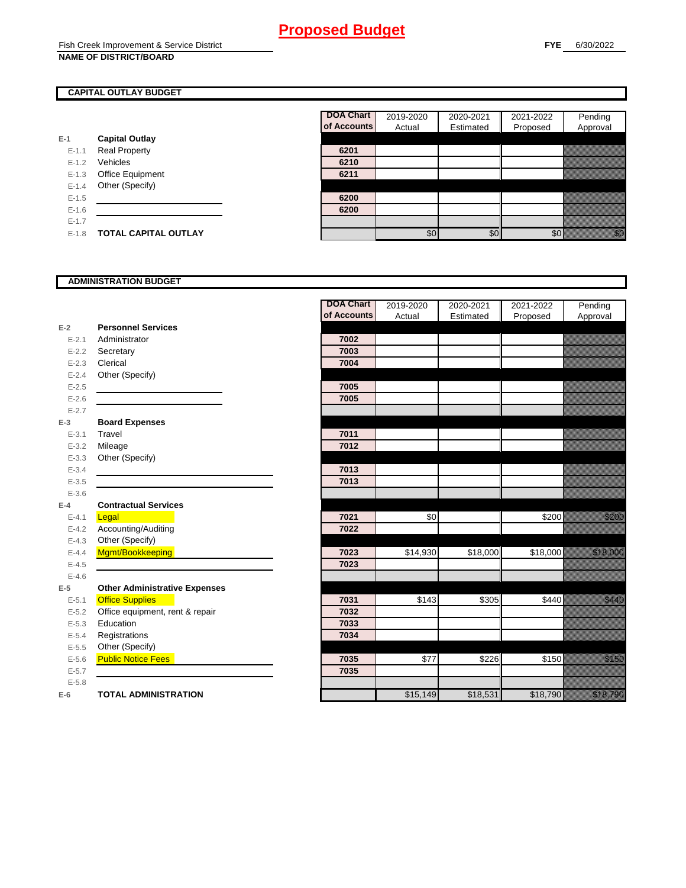### **CAPITAL OUTLAY BUDGET**

|           |                         | <b>OT ACCOL</b> |
|-----------|-------------------------|-----------------|
| $E-1$     | <b>Capital Outlay</b>   |                 |
| $E - 1.1$ | <b>Real Property</b>    | 6201            |
| $E - 1.2$ | Vehicles                | 6210            |
| $E - 1.3$ | <b>Office Equipment</b> | 6211            |
| $E - 1.4$ | Other (Specify)         |                 |
| $E - 1.5$ |                         | 6200            |
| $E - 1.6$ |                         | 6200            |
| $E - 1.7$ |                         |                 |
| $E - 1.8$ | TOTAL CAPITAL OUTLAY    |                 |

| <b>DOA Chart</b> | 2019-2020 | 2020-2021 | 2021-2022 | Pending  |
|------------------|-----------|-----------|-----------|----------|
| of Accounts      | Actual    | Estimated | Proposed  | Approval |
|                  |           |           |           |          |
| 6201             |           |           |           |          |
| 6210             |           |           |           |          |
| 6211             |           |           |           |          |
|                  |           |           |           |          |
| 6200             |           |           |           |          |
| 6200             |           |           |           |          |
|                  |           |           |           |          |
|                  | \$0       | ፍነ        |           |          |

## **ADMINISTRATION BUDGET**

|           |                                      | <b>DOA Chart</b> | 2019-2020 | 2020-2021 | 2021-2022 | Pending                                                                                                                                                                                                                          |
|-----------|--------------------------------------|------------------|-----------|-----------|-----------|----------------------------------------------------------------------------------------------------------------------------------------------------------------------------------------------------------------------------------|
|           |                                      | of Accounts      | Actual    | Estimated | Proposed  | Approval                                                                                                                                                                                                                         |
| $E-2$     | <b>Personnel Services</b>            |                  |           |           |           |                                                                                                                                                                                                                                  |
| $E - 2.1$ | Administrator                        | 7002             |           |           |           |                                                                                                                                                                                                                                  |
| $E - 2.2$ | Secretary                            | 7003             |           |           |           |                                                                                                                                                                                                                                  |
| $E - 2.3$ | Clerical                             | 7004             |           |           |           |                                                                                                                                                                                                                                  |
| $E - 2.4$ | Other (Specify)                      |                  |           |           |           |                                                                                                                                                                                                                                  |
| $E-2.5$   |                                      | 7005             |           |           |           |                                                                                                                                                                                                                                  |
| $E-2.6$   |                                      | 7005             |           |           |           |                                                                                                                                                                                                                                  |
| $E - 2.7$ |                                      |                  |           |           |           |                                                                                                                                                                                                                                  |
| $E-3$     | <b>Board Expenses</b>                |                  |           |           |           |                                                                                                                                                                                                                                  |
| $E - 3.1$ | Travel                               | 7011             |           |           |           |                                                                                                                                                                                                                                  |
| $E - 3.2$ | Mileage                              | 7012             |           |           |           |                                                                                                                                                                                                                                  |
| $E - 3.3$ | Other (Specify)                      |                  |           |           |           |                                                                                                                                                                                                                                  |
| $E - 3.4$ |                                      | 7013             |           |           |           |                                                                                                                                                                                                                                  |
| $E - 3.5$ |                                      | 7013             |           |           |           |                                                                                                                                                                                                                                  |
| $E - 3.6$ |                                      |                  |           |           |           |                                                                                                                                                                                                                                  |
| $E-4$     | <b>Contractual Services</b>          |                  |           |           |           |                                                                                                                                                                                                                                  |
| $E - 4.1$ | Legal                                | 7021             | \$0       |           | \$200     | <u>tik kom</u>                                                                                                                                                                                                                   |
| $E - 4.2$ | Accounting/Auditing                  | 7022             |           |           |           |                                                                                                                                                                                                                                  |
| $E-4.3$   | Other (Specify)                      |                  |           |           |           |                                                                                                                                                                                                                                  |
| $E-4.4$   | Mgmt/Bookkeeping                     | 7023             | \$14,930  | \$18,000  | \$18,000  | <u> Karl Sara</u>                                                                                                                                                                                                                |
| $E-4.5$   |                                      | 7023             |           |           |           |                                                                                                                                                                                                                                  |
| $E-4.6$   |                                      |                  |           |           |           |                                                                                                                                                                                                                                  |
| $E-5$     | <b>Other Administrative Expenses</b> |                  |           |           |           |                                                                                                                                                                                                                                  |
| $E - 5.1$ | <b>Office Supplies</b>               | 7031             | \$143     | \$305     | \$440     | en de la familie de la familie de la familie de la familie de la familie de la familie de la familie de la fam<br>Estat de la familie de la familie de la familie de la familie de la familie de la familie de la familie de la  |
| $E - 5.2$ | Office equipment, rent & repair      | 7032             |           |           |           |                                                                                                                                                                                                                                  |
| $E-5.3$   | Education                            | 7033             |           |           |           |                                                                                                                                                                                                                                  |
| $E - 5.4$ | Registrations                        | 7034             |           |           |           |                                                                                                                                                                                                                                  |
| $E-5.5$   | Other (Specify)                      |                  |           |           |           |                                                                                                                                                                                                                                  |
| $E-5.6$   | <b>Public Notice Fees</b>            | 7035             | \$77      | \$226     | \$150     | a katika katika katika katika katika katika alikuwa alikuwa alikuwa alikuwa alikuwa alikuwa alikuwa alikuwa al<br>Katika katika katika katika katika katika katika katika katika katika katika katika katika katika katika katik |
| $E - 5.7$ |                                      | 7035             |           |           |           |                                                                                                                                                                                                                                  |
| $E - 5.8$ |                                      |                  |           |           |           |                                                                                                                                                                                                                                  |
| $E-6$     | <b>TOTAL ADMINISTRATION</b>          |                  | \$15,149  | \$18,531  | \$18,790  |                                                                                                                                                                                                                                  |
|           |                                      |                  |           |           |           |                                                                                                                                                                                                                                  |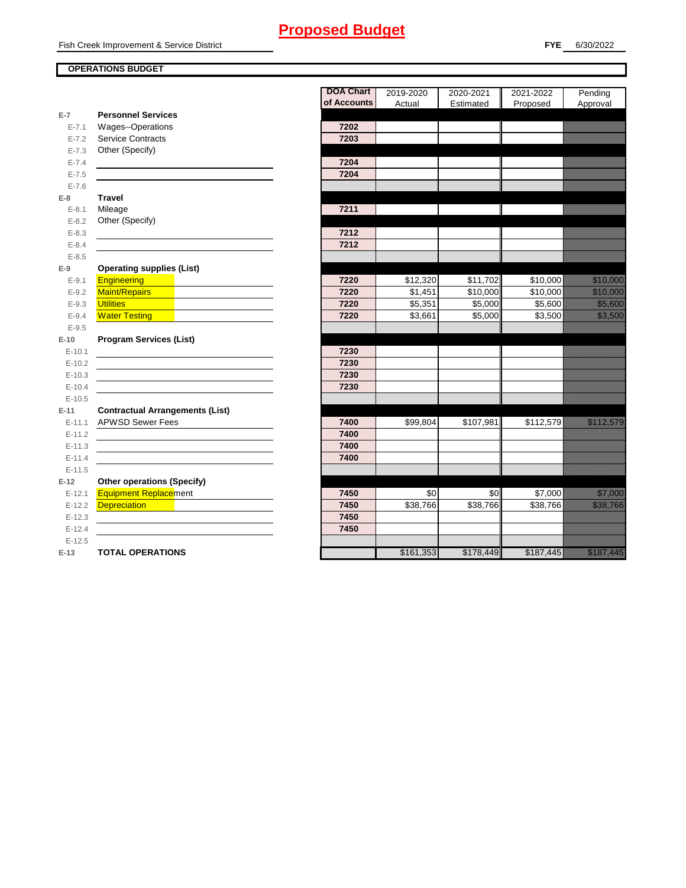#### **OPERATIONS BUDGET**

|           |                                        | <b>DOA Chart</b> | 2019-2020 | 2020-2021 | 2021-2022 | Pending                                                                                                              |
|-----------|----------------------------------------|------------------|-----------|-----------|-----------|----------------------------------------------------------------------------------------------------------------------|
| $E-7$     | <b>Personnel Services</b>              | of Accounts      | Actual    | Estimated | Proposed  | Approval                                                                                                             |
| $E - 7.1$ | Wages--Operations                      | 7202             |           |           |           |                                                                                                                      |
| $E - 7.2$ | Service Contracts                      | 7203             |           |           |           |                                                                                                                      |
| $E - 7.3$ | Other (Specify)                        |                  |           |           |           |                                                                                                                      |
| $E - 7.4$ |                                        | 7204             |           |           |           |                                                                                                                      |
| $E - 7.5$ |                                        | 7204             |           |           |           |                                                                                                                      |
| $E - 7.6$ |                                        |                  |           |           |           |                                                                                                                      |
| $E-8$     | <b>Travel</b>                          |                  |           |           |           |                                                                                                                      |
| $E - 8.1$ | Mileage                                | 7211             |           |           |           |                                                                                                                      |
| $E - 8.2$ | Other (Specify)                        |                  |           |           |           |                                                                                                                      |
| $E - 8.3$ |                                        | 7212             |           |           |           |                                                                                                                      |
| $E - 8.4$ |                                        | 7212             |           |           |           |                                                                                                                      |
| $E - 8.5$ |                                        |                  |           |           |           |                                                                                                                      |
| $E-9$     | <b>Operating supplies (List)</b>       |                  |           |           |           |                                                                                                                      |
| $E - 9.1$ | <b>Engineering</b>                     | 7220             | \$12,320  | \$11,702  | \$10,000  | <u>tin alaman sa</u>                                                                                                 |
| $E-9.2$   | <b>Maint/Repairs</b>                   | 7220             | \$1,451   | \$10,000  | \$10,000  | <u>elitika ko</u>                                                                                                    |
| $E-9.3$   | <b>Utilities</b>                       | 7220             | \$5,351   | \$5,000   | \$5,600   | <u> Karlingham</u>                                                                                                   |
| $E - 9.4$ | <b>Water Testing</b>                   | 7220             | \$3,661   | \$5,000   | \$3,500   | <u>i serialistikan pada tahun 1999. Seriaan perangan dalam ke</u>                                                    |
| $E-9.5$   |                                        |                  |           |           |           |                                                                                                                      |
| $E-10$    | <b>Program Services (List)</b>         |                  |           |           |           |                                                                                                                      |
| $E-10.1$  |                                        | 7230             |           |           |           |                                                                                                                      |
| $E-10.2$  |                                        | 7230             |           |           |           |                                                                                                                      |
| $E-10.3$  |                                        | 7230             |           |           |           |                                                                                                                      |
| $E-10.4$  |                                        | 7230             |           |           |           |                                                                                                                      |
| $E-10.5$  |                                        |                  |           |           |           |                                                                                                                      |
| $E-11$    | <b>Contractual Arrangements (List)</b> |                  |           |           |           |                                                                                                                      |
| $E-11.1$  | <b>APWSD Sewer Fees</b>                | 7400             | \$99,804  | \$107,981 | \$112,579 | a katalunggal sa katalunggal sa katalunggal sa katalunggal sa katalunggal sa katalunggal sa katalunggal sa kat       |
| $E-11.2$  |                                        | 7400             |           |           |           |                                                                                                                      |
| $E-11.3$  |                                        | 7400             |           |           |           |                                                                                                                      |
| $E-11.4$  |                                        | 7400             |           |           |           |                                                                                                                      |
| $E-11.5$  |                                        |                  |           |           |           |                                                                                                                      |
| $E-12$    | <b>Other operations (Specify)</b>      |                  |           |           |           |                                                                                                                      |
| $E-12.1$  | <b>Equipment Replacement</b>           | 7450             | \$0       | \$0       | \$7,000   | <u>ti karatikana yang berlapas dalam bagi dalam karatikana dalam karatikana dalam dalam dalam dalam dalam dalam </u> |
| $E-12.2$  | <b>Depreciation</b>                    | 7450             | \$38,766  | \$38,766  | \$38,766  | <u>eliteratural e</u>                                                                                                |
| $E-12.3$  |                                        | 7450             |           |           |           |                                                                                                                      |
| $E-12.4$  |                                        | 7450             |           |           |           |                                                                                                                      |
| $E-12.5$  |                                        |                  |           |           |           |                                                                                                                      |
| $E-13$    | <b>TOTAL OPERATIONS</b>                |                  | \$161,353 | \$178,449 | \$187,445 | a an ainmneach<br>Chaidhean                                                                                          |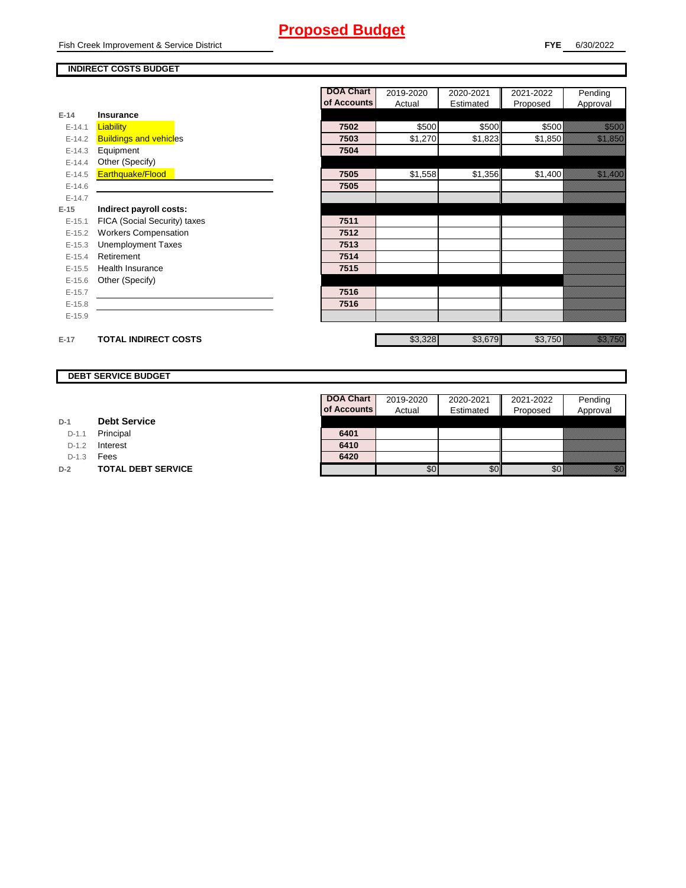### **INDIRECT COSTS BUDGET**

|          |                               | <b>DOA Chart</b> | 2019-2020 | 2020-2021 | 2021-2022 | Pending                                                                                                                                                                                                                          |
|----------|-------------------------------|------------------|-----------|-----------|-----------|----------------------------------------------------------------------------------------------------------------------------------------------------------------------------------------------------------------------------------|
|          |                               | of Accounts      | Actual    | Estimated | Proposed  | Approval                                                                                                                                                                                                                         |
| $E-14$   | <b>Insurance</b>              |                  |           |           |           |                                                                                                                                                                                                                                  |
| $E-14.1$ | <b>Liability</b>              | 7502             | \$500     | \$500     | \$500     | <u> Karlin Sa</u>                                                                                                                                                                                                                |
| $E-14.2$ | <b>Buildings and vehicles</b> | 7503             | \$1,270   | \$1,823   | \$1,850   | <u> Kalifornia (</u>                                                                                                                                                                                                             |
| $E-14.3$ | Equipment                     | 7504             |           |           |           |                                                                                                                                                                                                                                  |
| $E-14.4$ | Other (Specify)               |                  |           |           |           |                                                                                                                                                                                                                                  |
| $E-14.5$ | Earthquake/Flood              | 7505             | \$1,558   | \$1,356   | \$1,400   | <u> Kalendari Serika Ba</u>                                                                                                                                                                                                      |
| $E-14.6$ |                               | 7505             |           |           |           |                                                                                                                                                                                                                                  |
| $E-14.7$ |                               |                  |           |           |           |                                                                                                                                                                                                                                  |
| $E-15$   | Indirect payroll costs:       |                  |           |           |           |                                                                                                                                                                                                                                  |
| $E-15.1$ | FICA (Social Security) taxes  | 7511             |           |           |           |                                                                                                                                                                                                                                  |
| $E-15.2$ | <b>Workers Compensation</b>   | 7512             |           |           |           |                                                                                                                                                                                                                                  |
| $E-15.3$ | <b>Unemployment Taxes</b>     | 7513             |           |           |           |                                                                                                                                                                                                                                  |
| $E-15.4$ | Retirement                    | 7514             |           |           |           |                                                                                                                                                                                                                                  |
| $E-15.5$ | <b>Health Insurance</b>       | 7515             |           |           |           |                                                                                                                                                                                                                                  |
| $E-15.6$ | Other (Specify)               |                  |           |           |           |                                                                                                                                                                                                                                  |
| $E-15.7$ |                               | 7516             |           |           |           |                                                                                                                                                                                                                                  |
| $E-15.8$ |                               | 7516             |           |           |           |                                                                                                                                                                                                                                  |
| $E-15.9$ |                               |                  |           |           |           |                                                                                                                                                                                                                                  |
| $E-17$   | <b>TOTAL INDIRECT COSTS</b>   |                  | \$3,328   | \$3,679   | \$3,750   | a katika katika katika katika katika katika katika katika katika katika katika katika katika katika katika kat<br>Katika katika katika katika katika katika katika katika katika katika katika katika katika katika katika katik |

#### **DEBT SERVICE BUDGET**

| D-1 |  | <b>Debt Service</b> |
|-----|--|---------------------|
|-----|--|---------------------|

D-1.1 **Principal** 

D-1.2 **Interest** 

D-1.3 **Fees** 

**D-2 TOTAL DEBT SERVICE** 

| <b>DOA Chart</b> | 2019-2020 | 2020-2021 | 2021-2022 | Pending  |
|------------------|-----------|-----------|-----------|----------|
| of Accounts      | Actual    | Estimated | Proposed  | Approval |
|                  |           |           |           |          |
| 6401             |           |           |           |          |
| 6410             |           |           |           |          |
| 6420             |           |           |           |          |
|                  |           |           |           |          |